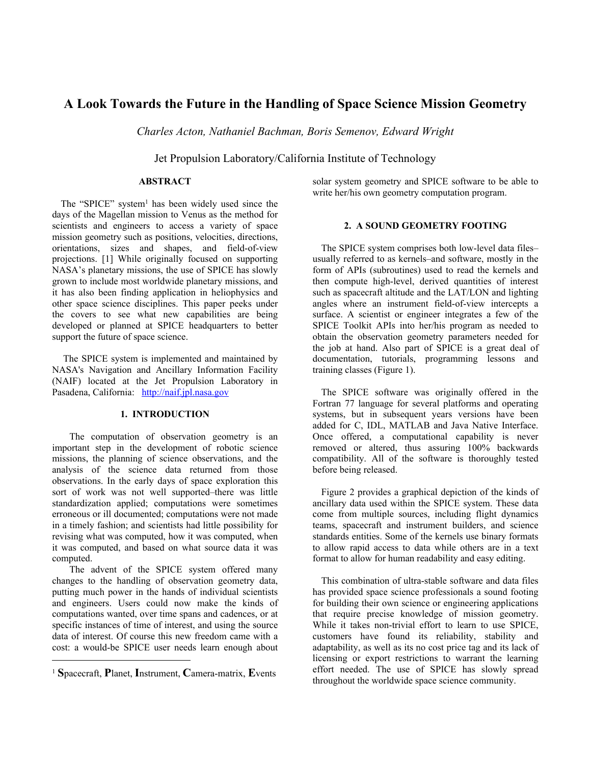# **A Look Towards the Future in the Handling of Space Science Mission Geometry**

*Charles Acton, Nathaniel Bachman, Boris Semenov, Edward Wright*

Jet Propulsion Laboratory/California Institute of Technology

# **ABSTRACT**

The "SPICE" system<sup>1</sup> has been widely used since the days of the Magellan mission to Venus as the method for scientists and engineers to access a variety of space mission geometry such as positions, velocities, directions, orientations, sizes and shapes, and field-of-view projections. [1] While originally focused on supporting NASA's planetary missions, the use of SPICE has slowly grown to include most worldwide planetary missions, and it has also been finding application in heliophysics and other space science disciplines. This paper peeks under the covers to see what new capabilities are being developed or planned at SPICE headquarters to better support the future of space science.

The SPICE system is implemented and maintained by NASA's Navigation and Ancillary Information Facility (NAIF) located at the Jet Propulsion Laboratory in Pasadena, California: <http://naif.jpl.nasa.gov>

# **1. INTRODUCTION**

The computation of observation geometry is an important step in the development of robotic science missions, the planning of science observations, and the analysis of the science data returned from those observations. In the early days of space exploration this sort of work was not well supported–there was little standardization applied; computations were sometimes erroneous or ill documented; computations were not made in a timely fashion; and scientists had little possibility for revising what was computed, how it was computed, when it was computed, and based on what source data it was computed.

The advent of the SPICE system offered many changes to the handling of observation geometry data, putting much power in the hands of individual scientists and engineers. Users could now make the kinds of computations wanted, over time spans and cadences, or at specific instances of time of interest, and using the source data of interest. Of course this new freedom came with a cost: a would-be SPICE user needs learn enough about solar system geometry and SPICE software to be able to write her/his own geometry computation program.

# **2. A SOUND GEOMETRY FOOTING**

The SPICE system comprises both low-level data files– usually referred to as kernels–and software, mostly in the form of APIs (subroutines) used to read the kernels and then compute high-level, derived quantities of interest such as spacecraft altitude and the LAT/LON and lighting angles where an instrument field-of-view intercepts a surface. A scientist or engineer integrates a few of the SPICE Toolkit APIs into her/his program as needed to obtain the observation geometry parameters needed for the job at hand. Also part of SPICE is a great deal of documentation, tutorials, programming lessons and training classes (Figure 1).

The SPICE software was originally offered in the Fortran 77 language for several platforms and operating systems, but in subsequent years versions have been added for C, IDL, MATLAB and Java Native Interface. Once offered, a computational capability is never removed or altered, thus assuring 100% backwards compatibility. All of the software is thoroughly tested before being released.

Figure 2 provides a graphical depiction of the kinds of ancillary data used within the SPICE system. These data come from multiple sources, including flight dynamics teams, spacecraft and instrument builders, and science standards entities. Some of the kernels use binary formats to allow rapid access to data while others are in a text format to allow for human readability and easy editing.

This combination of ultra-stable software and data files has provided space science professionals a sound footing for building their own science or engineering applications that require precise knowledge of mission geometry. While it takes non-trivial effort to learn to use SPICE, customers have found its reliability, stability and adaptability, as well as its no cost price tag and its lack of licensing or export restrictions to warrant the learning effort needed. The use of SPICE has slowly spread throughout the worldwide space science community.

<sup>1</sup> **S**pacecraft, **P**lanet, **I**nstrument, **C**amera-matrix, **E**vents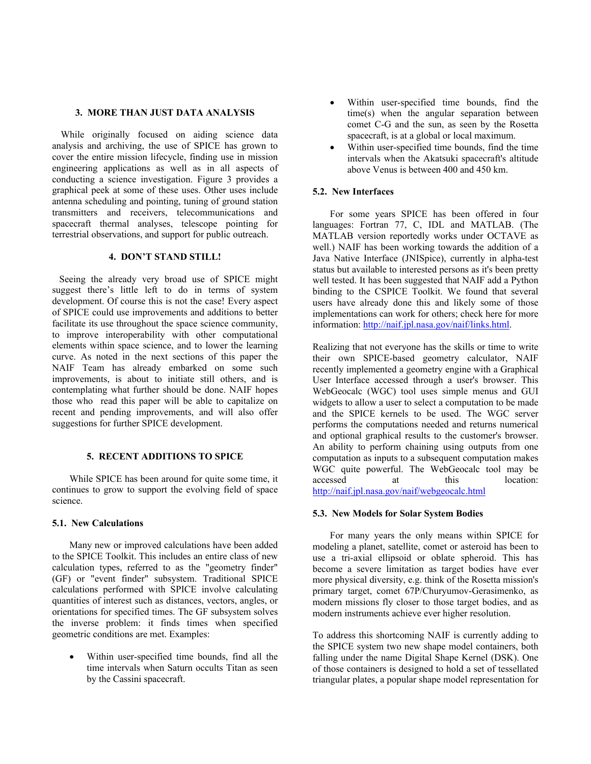#### **3. MORE THAN JUST DATA ANALYSIS**

While originally focused on aiding science data analysis and archiving, the use of SPICE has grown to cover the entire mission lifecycle, finding use in mission engineering applications as well as in all aspects of conducting a science investigation. Figure 3 provides a graphical peek at some of these uses. Other uses include antenna scheduling and pointing, tuning of ground station transmitters and receivers, telecommunications and spacecraft thermal analyses, telescope pointing for terrestrial observations, and support for public outreach.

## **4. DON'T STAND STILL!**

 Seeing the already very broad use of SPICE might suggest there's little left to do in terms of system development. Of course this is not the case! Every aspect of SPICE could use improvements and additions to better facilitate its use throughout the space science community, to improve interoperability with other computational elements within space science, and to lower the learning curve. As noted in the next sections of this paper the NAIF Team has already embarked on some such improvements, is about to initiate still others, and is contemplating what further should be done. NAIF hopes those who read this paper will be able to capitalize on recent and pending improvements, and will also offer suggestions for further SPICE development.

# **5. RECENT ADDITIONS TO SPICE**

While SPICE has been around for quite some time, it continues to grow to support the evolving field of space science.

## **5.1. New Calculations**

Many new or improved calculations have been added to the SPICE Toolkit. This includes an entire class of new calculation types, referred to as the "geometry finder" (GF) or "event finder" subsystem. Traditional SPICE calculations performed with SPICE involve calculating quantities of interest such as distances, vectors, angles, or orientations for specified times. The GF subsystem solves the inverse problem: it finds times when specified geometric conditions are met. Examples:

Within user-specified time bounds, find all the time intervals when Saturn occults Titan as seen by the Cassini spacecraft.

- Within user-specified time bounds, find the time(s) when the angular separation between comet C-G and the sun, as seen by the Rosetta spacecraft, is at a global or local maximum.
- Within user-specified time bounds, find the time intervals when the Akatsuki spacecraft's altitude above Venus is between 400 and 450 km.

# **5.2. New Interfaces**

For some years SPICE has been offered in four languages: Fortran 77, C, IDL and MATLAB. (The MATLAB version reportedly works under OCTAVE as well.) NAIF has been working towards the addition of a Java Native Interface (JNISpice), currently in alpha-test status but available to interested persons as it's been pretty well tested. It has been suggested that NAIF add a Python binding to the CSPICE Toolkit. We found that several users have already done this and likely some of those implementations can work for others; check here for more information: [http://naif.jpl.nasa.gov/naif/links.html.](http://naif.jpl.nasa.gov/naif/links.html)

Realizing that not everyone has the skills or time to write their own SPICE-based geometry calculator, NAIF recently implemented a geometry engine with a Graphical User Interface accessed through a user's browser. This WebGeocalc (WGC) tool uses simple menus and GUI widgets to allow a user to select a computation to be made and the SPICE kernels to be used. The WGC server performs the computations needed and returns numerical and optional graphical results to the customer's browser. An ability to perform chaining using outputs from one computation as inputs to a subsequent computation makes WGC quite powerful. The WebGeocalc tool may be accessed at this location <http://naif.jpl.nasa.gov/naif/webgeocalc.html>

## **5.3. New Models for Solar System Bodies**

For many years the only means within SPICE for modeling a planet, satellite, comet or asteroid has been to use a tri-axial ellipsoid or oblate spheroid. This has become a severe limitation as target bodies have ever more physical diversity, e.g. think of the Rosetta mission's primary target, comet 67P/Churyumov-Gerasimenko, as modern missions fly closer to those target bodies, and as modern instruments achieve ever higher resolution.

To address this shortcoming NAIF is currently adding to the SPICE system two new shape model containers, both falling under the name Digital Shape Kernel (DSK). One of those containers is designed to hold a set of tessellated triangular plates, a popular shape model representation for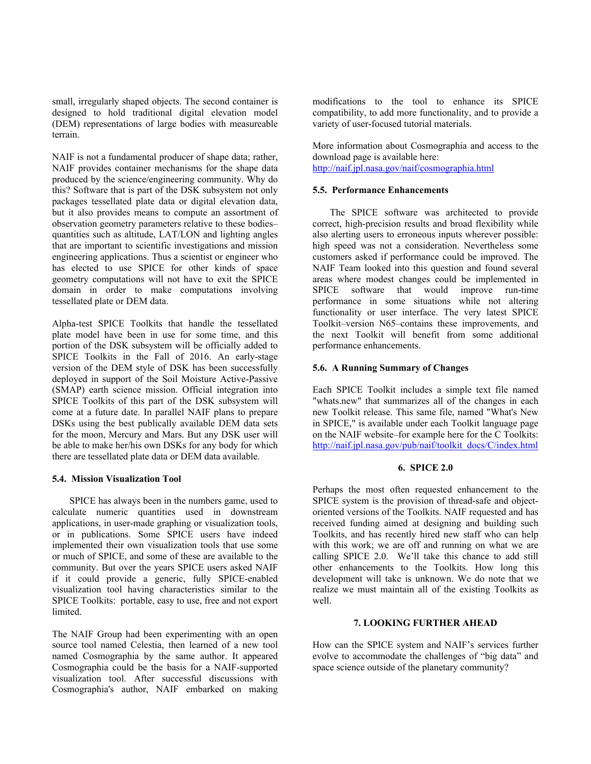small, irregularly shaped objects. The second container is designed to hold traditional digital elevation model (DEM) representations of large bodies with measureable terrain.

NAIF is not a fundamental producer of shape data; rather, NAIF provides container mechanisms for the shape data produced by the science/engineering community. Why do this? Software that is part of the DSK subsystem not only packages tessellated plate data or digital elevation data, but it also provides means to compute an assortment of observation geometry parameters relative to these bodies– quantities such as altitude, LAT/LON and lighting angles that are important to scientific investigations and mission engineering applications. Thus a scientist or engineer who has elected to use SPICE for other kinds of space geometry computations will not have to exit the SPICE domain in order to make computations involving tessellated plate or DEM data.

Alpha-test SPICE Toolkits that handle the tessellated plate model have been in use for some time, and this portion of the DSK subsystem will be officially added to SPICE Toolkits in the Fall of 2016. An early-stage version of the DEM style of DSK has been successfully deployed in support of the Soil Moisture Active-Passive (SMAP) earth science mission. Official integration into SPICE Toolkits of this part of the DSK subsystem will come at a future date. In parallel NAIF plans to prepare DSKs using the best publically available DEM data sets for the moon, Mercury and Mars. But any DSK user will be able to make her/his own DSKs for any body for which there are tessellated plate data or DEM data available.

## **5.4. Mission Visualization Tool**

SPICE has always been in the numbers game, used to calculate numeric quantities used in downstream applications, in user-made graphing or visualization tools, or in publications. Some SPICE users have indeed implemented their own visualization tools that use some or much of SPICE, and some of these are available to the community. But over the years SPICE users asked NAIF if it could provide a generic, fully SPICE-enabled visualization tool having characteristics similar to the SPICE Toolkits: portable, easy to use, free and not export limited.

The NAIF Group had been experimenting with an open source tool named Celestia, then learned of a new tool named Cosmographia by the same author. It appeared Cosmographia could be the basis for a NAIF-supported visualization tool. After successful discussions with Cosmographia's author, NAIF embarked on making modifications to the tool to enhance its SPICE compatibility, to add more functionality, and to provide a variety of user-focused tutorial materials.

More information about Cosmographia and access to the download page is available here: <http://naif.jpl.nasa.gov/naif/cosmographia.html>

#### **5.5. Performance Enhancements**

The SPICE software was architected to provide correct, high-precision results and broad flexibility while also alerting users to erroneous inputs wherever possible: high speed was not a consideration. Nevertheless some customers asked if performance could be improved. The NAIF Team looked into this question and found several areas where modest changes could be implemented in SPICE software that would improve run-time performance in some situations while not altering functionality or user interface. The very latest SPICE Toolkit–version N65–contains these improvements, and the next Toolkit will benefit from some additional performance enhancements.

#### **5.6. A Running Summary of Changes**

Each SPICE Toolkit includes a simple text file named "whats.new" that summarizes all of the changes in each new Toolkit release. This same file, named "What's New in SPICE," is available under each Toolkit language page on the NAIF website–for example here for the C Toolkits: [http://naif.jpl.nasa.gov/pub/naif/toolkit\\_docs/C/index.html](http://naif.jpl.nasa.gov/pub/naif/toolkit_docs/C/index.html)

### **6. SPICE 2.0**

Perhaps the most often requested enhancement to the SPICE system is the provision of thread-safe and objectoriented versions of the Toolkits. NAIF requested and has received funding aimed at designing and building such Toolkits, and has recently hired new staff who can help with this work; we are off and running on what we are calling SPICE 2.0. We'll take this chance to add still other enhancements to the Toolkits. How long this development will take is unknown. We do note that we realize we must maintain all of the existing Toolkits as well.

#### **7. LOOKING FURTHER AHEAD**

How can the SPICE system and NAIF's services further evolve to accommodate the challenges of "big data" and space science outside of the planetary community?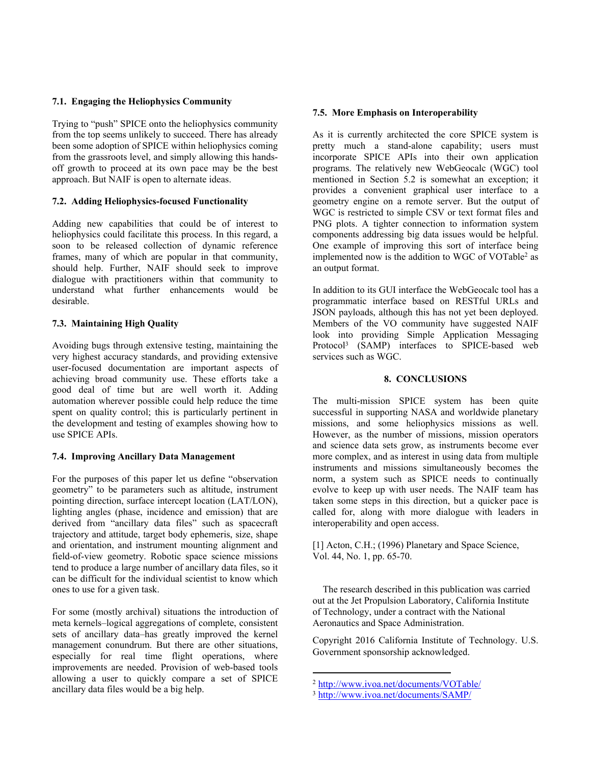# **7.1. Engaging the Heliophysics Community**

Trying to "push" SPICE onto the heliophysics community from the top seems unlikely to succeed. There has already been some adoption of SPICE within heliophysics coming from the grassroots level, and simply allowing this handsoff growth to proceed at its own pace may be the best approach. But NAIF is open to alternate ideas.

# **7.2. Adding Heliophysics-focused Functionality**

Adding new capabilities that could be of interest to heliophysics could facilitate this process. In this regard, a soon to be released collection of dynamic reference frames, many of which are popular in that community, should help. Further, NAIF should seek to improve dialogue with practitioners within that community to understand what further enhancements would be desirable.

# **7.3. Maintaining High Quality**

Avoiding bugs through extensive testing, maintaining the very highest accuracy standards, and providing extensive user-focused documentation are important aspects of achieving broad community use. These efforts take a good deal of time but are well worth it. Adding automation wherever possible could help reduce the time spent on quality control; this is particularly pertinent in the development and testing of examples showing how to use SPICE APIs.

# **7.4. Improving Ancillary Data Management**

For the purposes of this paper let us define "observation geometry" to be parameters such as altitude, instrument pointing direction, surface intercept location (LAT/LON), lighting angles (phase, incidence and emission) that are derived from "ancillary data files" such as spacecraft trajectory and attitude, target body ephemeris, size, shape and orientation, and instrument mounting alignment and field-of-view geometry. Robotic space science missions tend to produce a large number of ancillary data files, so it can be difficult for the individual scientist to know which ones to use for a given task.

For some (mostly archival) situations the introduction of meta kernels–logical aggregations of complete, consistent sets of ancillary data–has greatly improved the kernel management conundrum. But there are other situations, especially for real time flight operations, where improvements are needed. Provision of web-based tools allowing a user to quickly compare a set of SPICE ancillary data files would be a big help.

# **7.5. More Emphasis on Interoperability**

As it is currently architected the core SPICE system is pretty much a stand-alone capability; users must incorporate SPICE APIs into their own application programs. The relatively new WebGeocalc (WGC) tool mentioned in Section 5.2 is somewhat an exception; it provides a convenient graphical user interface to a geometry engine on a remote server. But the output of WGC is restricted to simple CSV or text format files and PNG plots. A tighter connection to information system components addressing big data issues would be helpful. One example of improving this sort of interface being implemented now is the addition to WGC of VOTable2 as an output format.

In addition to its GUI interface the WebGeocalc tool has a programmatic interface based on RESTful URLs and JSON payloads, although this has not yet been deployed. Members of the VO community have suggested NAIF look into providing Simple Application Messaging Protocol3 (SAMP) interfaces to SPICE-based web services such as WGC.

# **8. CONCLUSIONS**

The multi-mission SPICE system has been quite successful in supporting NASA and worldwide planetary missions, and some heliophysics missions as well. However, as the number of missions, mission operators and science data sets grow, as instruments become ever more complex, and as interest in using data from multiple instruments and missions simultaneously becomes the norm, a system such as SPICE needs to continually evolve to keep up with user needs. The NAIF team has taken some steps in this direction, but a quicker pace is called for, along with more dialogue with leaders in interoperability and open access.

[1] Acton, C.H.; (1996) Planetary and Space Science, Vol. 44, No. 1, pp. 65-70.

The research described in this publication was carried out at the Jet Propulsion Laboratory, California Institute of Technology, under a contract with the National Aeronautics and Space Administration.

Copyright 2016 California Institute of Technology. U.S. Government sponsorship acknowledged.

<sup>2</sup> http://www.ivoa.net/documents/VOTable/

<sup>3</sup> <http://www.ivoa.net/documents/SAMP/>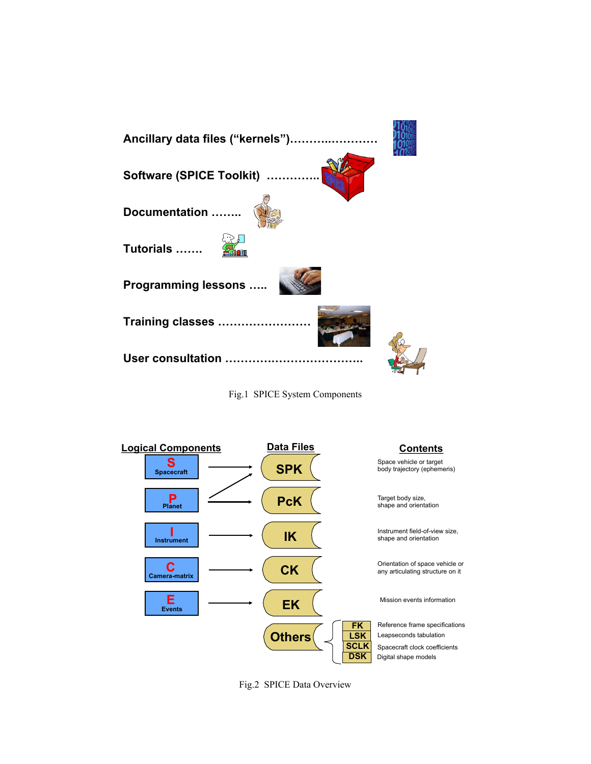

Fig.1 SPICE System Components



Fig.2 SPICE Data Overview